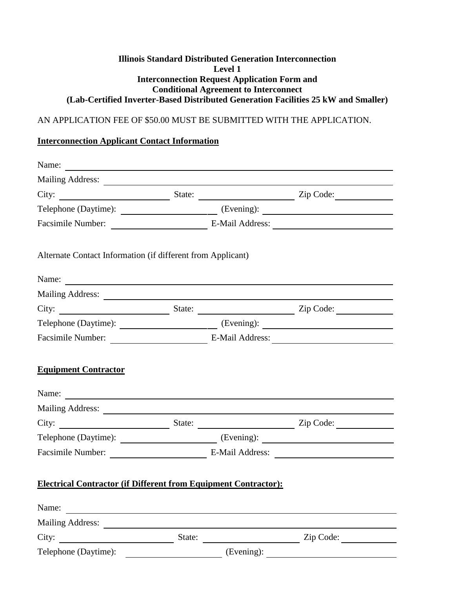### **Illinois Standard Distributed Generation Interconnection Level 1 Interconnection Request Application Form and Conditional Agreement to Interconnect (Lab-Certified Inverter-Based Distributed Generation Facilities 25 kW and Smaller)**

# AN APPLICATION FEE OF \$50.00 MUST BE SUBMITTED WITH THE APPLICATION.

# **Interconnection Applicant Contact Information**

| Facsimile Number: E-Mail Address: E-Mail Address:                      |        |                         |
|------------------------------------------------------------------------|--------|-------------------------|
| Alternate Contact Information (if different from Applicant)            |        |                         |
| Name:                                                                  |        |                         |
|                                                                        |        |                         |
|                                                                        |        |                         |
|                                                                        |        |                         |
| Facsimile Number: E-Mail Address: E-Mail Address:                      |        |                         |
| <b>Equipment Contractor</b>                                            |        |                         |
| Name: $\qquad \qquad$                                                  |        |                         |
|                                                                        |        |                         |
|                                                                        |        | State: <u>Zip Code:</u> |
|                                                                        |        |                         |
| <b>Electrical Contractor (if Different from Equipment Contractor):</b> |        |                         |
| Name:                                                                  |        |                         |
|                                                                        |        |                         |
| City: $\qquad \qquad \qquad$                                           | State: | $\frac{1}{2}$ Zip Code: |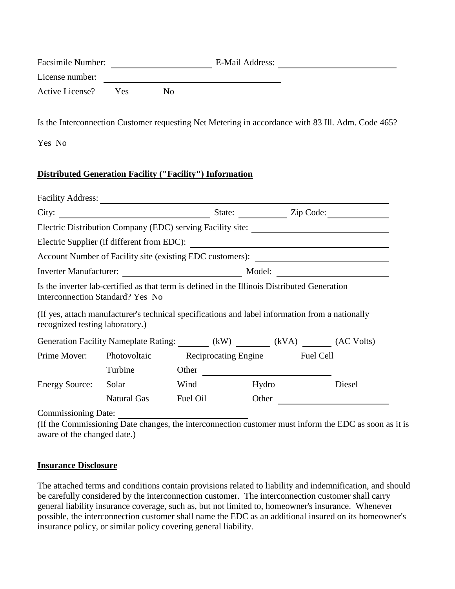| <b>Facsimile Number:</b> |              | E-Mail Address: |  |  |
|--------------------------|--------------|-----------------|--|--|
| License number:          |              |                 |  |  |
| Active License? Yes      | $N_{\Omega}$ |                 |  |  |

Is the Interconnection Customer requesting Net Metering in accordance with 83 Ill. Adm. Code 465?

Yes No

# **Distributed Generation Facility ("Facility") Information**

| <b>Facility Address:</b>        |                                                                                                                                                                                                                                     |          |                                |        |
|---------------------------------|-------------------------------------------------------------------------------------------------------------------------------------------------------------------------------------------------------------------------------------|----------|--------------------------------|--------|
|                                 |                                                                                                                                                                                                                                     |          |                                |        |
|                                 | Electric Distribution Company (EDC) serving Facility site: ______________________                                                                                                                                                   |          |                                |        |
|                                 |                                                                                                                                                                                                                                     |          |                                |        |
|                                 |                                                                                                                                                                                                                                     |          |                                |        |
| <b>Inverter Manufacturer:</b>   |                                                                                                                                                                                                                                     |          |                                |        |
| recognized testing laboratory.) | Is the inverter lab-certified as that term is defined in the Illinois Distributed Generation<br>Interconnection Standard? Yes No<br>(If yes, attach manufacturer's technical specifications and label information from a nationally |          |                                |        |
|                                 | Generation Facility Nameplate Rating: (kW) (kVA) (AC Volts)                                                                                                                                                                         |          |                                |        |
| Prime Mover:                    | Photovoltaic                                                                                                                                                                                                                        |          | Reciprocating Engine Fuel Cell |        |
|                                 | Turbine                                                                                                                                                                                                                             | Other    |                                |        |
| <b>Energy Source:</b>           | Solar                                                                                                                                                                                                                               | Wind     | Hydro                          | Diesel |
|                                 | <b>Natural Gas</b>                                                                                                                                                                                                                  | Fuel Oil | Other                          |        |
| Commissioning Date:             |                                                                                                                                                                                                                                     |          |                                |        |

Commissioning Date:

(If the Commissioning Date changes, the interconnection customer must inform the EDC as soon as it is aware of the changed date.)

#### **Insurance Disclosure**

The attached terms and conditions contain provisions related to liability and indemnification, and should be carefully considered by the interconnection customer. The interconnection customer shall carry general liability insurance coverage, such as, but not limited to, homeowner's insurance. Whenever possible, the interconnection customer shall name the EDC as an additional insured on its homeowner's insurance policy, or similar policy covering general liability.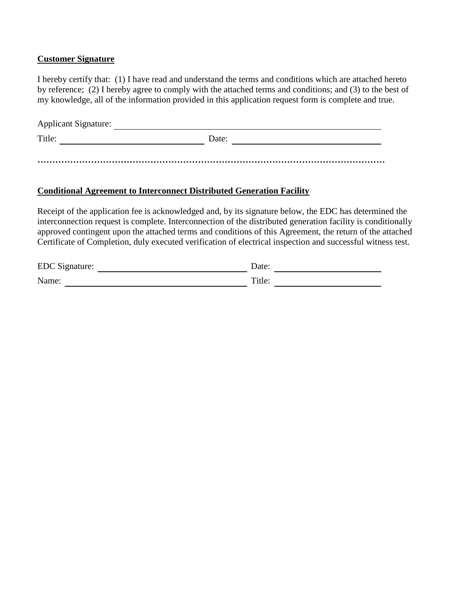### **Customer Signature**

I hereby certify that: (1) I have read and understand the terms and conditions which are attached hereto by reference; (2) I hereby agree to comply with the attached terms and conditions; and (3) to the best of my knowledge, all of the information provided in this application request form is complete and true.

| <b>Applicant Signature:</b> |       |  |
|-----------------------------|-------|--|
| Title:                      | Date: |  |
|                             |       |  |

### **Conditional Agreement to Interconnect Distributed Generation Facility**

Receipt of the application fee is acknowledged and, by its signature below, the EDC has determined the interconnection request is complete. Interconnection of the distributed generation facility is conditionally approved contingent upon the attached terms and conditions of this Agreement, the return of the attached Certificate of Completion, duly executed verification of electrical inspection and successful witness test.

| EDC Signature: | )ate:  |
|----------------|--------|
| Name:          | Title: |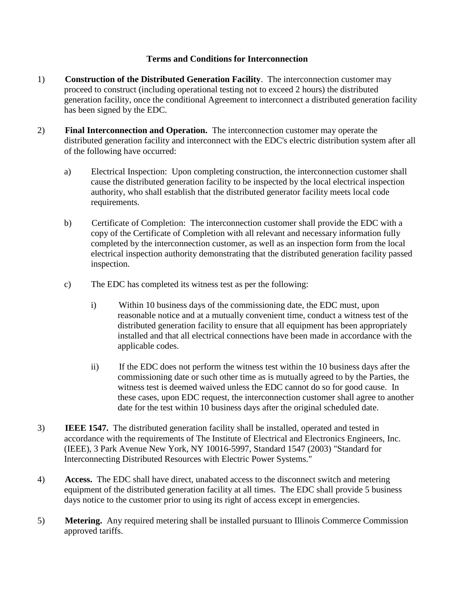## **Terms and Conditions for Interconnection**

- 1) **Construction of the Distributed Generation Facility**. The interconnection customer may proceed to construct (including operational testing not to exceed 2 hours) the distributed generation facility, once the conditional Agreement to interconnect a distributed generation facility has been signed by the EDC.
- 2) **Final Interconnection and Operation.** The interconnection customer may operate the distributed generation facility and interconnect with the EDC's electric distribution system after all of the following have occurred:
	- a) Electrical Inspection: Upon completing construction, the interconnection customer shall cause the distributed generation facility to be inspected by the local electrical inspection authority, who shall establish that the distributed generator facility meets local code requirements.
	- b) Certificate of Completion: The interconnection customer shall provide the EDC with a copy of the Certificate of Completion with all relevant and necessary information fully completed by the interconnection customer, as well as an inspection form from the local electrical inspection authority demonstrating that the distributed generation facility passed inspection.
	- c) The EDC has completed its witness test as per the following:
		- i) Within 10 business days of the commissioning date, the EDC must, upon reasonable notice and at a mutually convenient time, conduct a witness test of the distributed generation facility to ensure that all equipment has been appropriately installed and that all electrical connections have been made in accordance with the applicable codes.
		- ii) If the EDC does not perform the witness test within the 10 business days after the commissioning date or such other time as is mutually agreed to by the Parties, the witness test is deemed waived unless the EDC cannot do so for good cause. In these cases, upon EDC request, the interconnection customer shall agree to another date for the test within 10 business days after the original scheduled date.
- 3) **IEEE 1547.** The distributed generation facility shall be installed, operated and tested in accordance with the requirements of The Institute of Electrical and Electronics Engineers, Inc. (IEEE), 3 Park Avenue New York, NY 10016-5997, Standard 1547 (2003) "Standard for Interconnecting Distributed Resources with Electric Power Systems."
- 4) **Access.** The EDC shall have direct, unabated access to the disconnect switch and metering equipment of the distributed generation facility at all times. The EDC shall provide 5 business days notice to the customer prior to using its right of access except in emergencies.
- 5) **Metering.** Any required metering shall be installed pursuant to Illinois Commerce Commission approved tariffs.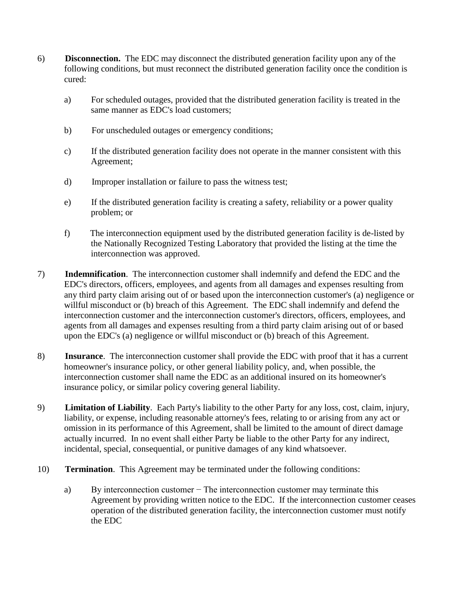- 6) **Disconnection.** The EDC may disconnect the distributed generation facility upon any of the following conditions, but must reconnect the distributed generation facility once the condition is cured:
	- a) For scheduled outages, provided that the distributed generation facility is treated in the same manner as EDC's load customers;
	- b) For unscheduled outages or emergency conditions;
	- c) If the distributed generation facility does not operate in the manner consistent with this Agreement;
	- d) Improper installation or failure to pass the witness test;
	- e) If the distributed generation facility is creating a safety, reliability or a power quality problem; or
	- f) The interconnection equipment used by the distributed generation facility is de-listed by the Nationally Recognized Testing Laboratory that provided the listing at the time the interconnection was approved.
- 7) **Indemnification**. The interconnection customer shall indemnify and defend the EDC and the EDC's directors, officers, employees, and agents from all damages and expenses resulting from any third party claim arising out of or based upon the interconnection customer's (a) negligence or willful misconduct or (b) breach of this Agreement. The EDC shall indemnify and defend the interconnection customer and the interconnection customer's directors, officers, employees, and agents from all damages and expenses resulting from a third party claim arising out of or based upon the EDC's (a) negligence or willful misconduct or (b) breach of this Agreement.
- 8) **Insurance**. The interconnection customer shall provide the EDC with proof that it has a current homeowner's insurance policy, or other general liability policy, and, when possible, the interconnection customer shall name the EDC as an additional insured on its homeowner's insurance policy, or similar policy covering general liability.
- 9) **Limitation of Liability**. Each Party's liability to the other Party for any loss, cost, claim, injury, liability, or expense, including reasonable attorney's fees, relating to or arising from any act or omission in its performance of this Agreement, shall be limited to the amount of direct damage actually incurred. In no event shall either Party be liable to the other Party for any indirect, incidental, special, consequential, or punitive damages of any kind whatsoever.
- 10) **Termination**. This Agreement may be terminated under the following conditions:
	- a) By interconnection customer − The interconnection customer may terminate this Agreement by providing written notice to the EDC. If the interconnection customer ceases operation of the distributed generation facility, the interconnection customer must notify the EDC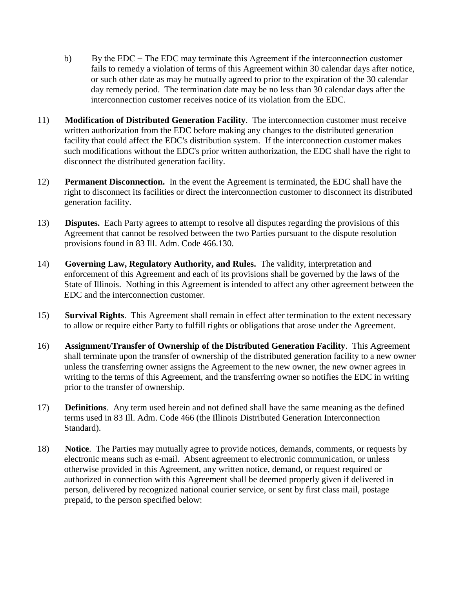- b) By the EDC − The EDC may terminate this Agreement if the interconnection customer fails to remedy a violation of terms of this Agreement within 30 calendar days after notice, or such other date as may be mutually agreed to prior to the expiration of the 30 calendar day remedy period. The termination date may be no less than 30 calendar days after the interconnection customer receives notice of its violation from the EDC.
- 11) **Modification of Distributed Generation Facility**. The interconnection customer must receive written authorization from the EDC before making any changes to the distributed generation facility that could affect the EDC's distribution system. If the interconnection customer makes such modifications without the EDC's prior written authorization, the EDC shall have the right to disconnect the distributed generation facility.
- 12) **Permanent Disconnection.** In the event the Agreement is terminated, the EDC shall have the right to disconnect its facilities or direct the interconnection customer to disconnect its distributed generation facility.
- 13) **Disputes.** Each Party agrees to attempt to resolve all disputes regarding the provisions of this Agreement that cannot be resolved between the two Parties pursuant to the dispute resolution provisions found in 83 Ill. Adm. Code 466.130.
- 14) **Governing Law, Regulatory Authority, and Rules.** The validity, interpretation and enforcement of this Agreement and each of its provisions shall be governed by the laws of the State of Illinois. Nothing in this Agreement is intended to affect any other agreement between the EDC and the interconnection customer.
- 15) **Survival Rights**. This Agreement shall remain in effect after termination to the extent necessary to allow or require either Party to fulfill rights or obligations that arose under the Agreement.
- 16) **Assignment/Transfer of Ownership of the Distributed Generation Facility**. This Agreement shall terminate upon the transfer of ownership of the distributed generation facility to a new owner unless the transferring owner assigns the Agreement to the new owner, the new owner agrees in writing to the terms of this Agreement, and the transferring owner so notifies the EDC in writing prior to the transfer of ownership.
- 17) **Definitions**. Any term used herein and not defined shall have the same meaning as the defined terms used in 83 Ill. Adm. Code 466 (the Illinois Distributed Generation Interconnection Standard).
- 18) **Notice**. The Parties may mutually agree to provide notices, demands, comments, or requests by electronic means such as e-mail. Absent agreement to electronic communication, or unless otherwise provided in this Agreement, any written notice, demand, or request required or authorized in connection with this Agreement shall be deemed properly given if delivered in person, delivered by recognized national courier service, or sent by first class mail, postage prepaid, to the person specified below: